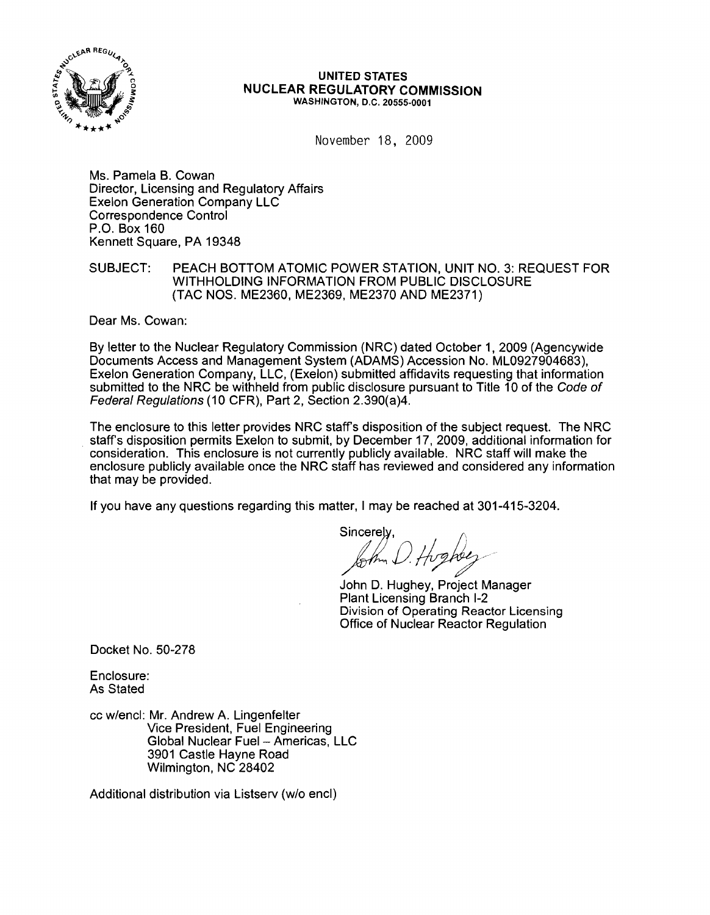

## UNITED STATES NUCLEAR REGULATORY COMMISSION WASHINGTON, D.C. 20555·0001

November 18, 2009

Ms. Pamela B. Cowan Director, Licensing and Regulatory Affairs Exelon Generation Company LLC Correspondence Control P.O. Box 160 Kennett Square, PA 19348

SUBJECT: PEACH BOTTOM ATOMIC POWER STATION, UNIT NO. 3: REQUEST FOR WITHHOLDING INFORMATION FROM PUBLIC DISCLOSURE (TAC NOS. ME2360, ME2369, ME2370 AND ME2371)

Dear Ms. Cowan:

By letter to the Nuclear Regulatory Commission (NRC) dated October 1, 2009 (Agencywide Documents Access and Management System (ADAMS) Accession No. ML0927904683), Exelon Generation Company, LLC, (Exelon) submitted affidavits requesting that information submitted to the NRC be withheld from public disclosure pursuant to Title 10 of the Code of Federal Regulations (10 CFR), Part 2, Section 2.390(a)4.

The enclosure to this letter provides NRC staffs disposition of the subject request. The NRC staff's disposition permits Exelon to submit, by December 17, 2009, additional information for consideration. This enclosure is not currently publicly available. NRC staff will make the enclosure publicly available once the NRC staff has reviewed and considered any information that may be provided.

If you have any questions regarding this matter, I may be reached at 301-415-3204.

Sincerely,<br>*John D. Hugher* 

John D. Hughey, Project Manager Plant Licensing Branch 1-2 Division of Operating Reactor Licensing Office of Nuclear Reactor Regulation

Docket No. 50-278

Enclosure: As Stated

cc w/encl: Mr. Andrew A. Lingenfelter Vice President, Fuel Engineering Global Nuclear Fuel - Americas, LLC 3901 Castle Hayne Road Wilmington, NC 28402

Additional distribution via Listserv (w/o encl)